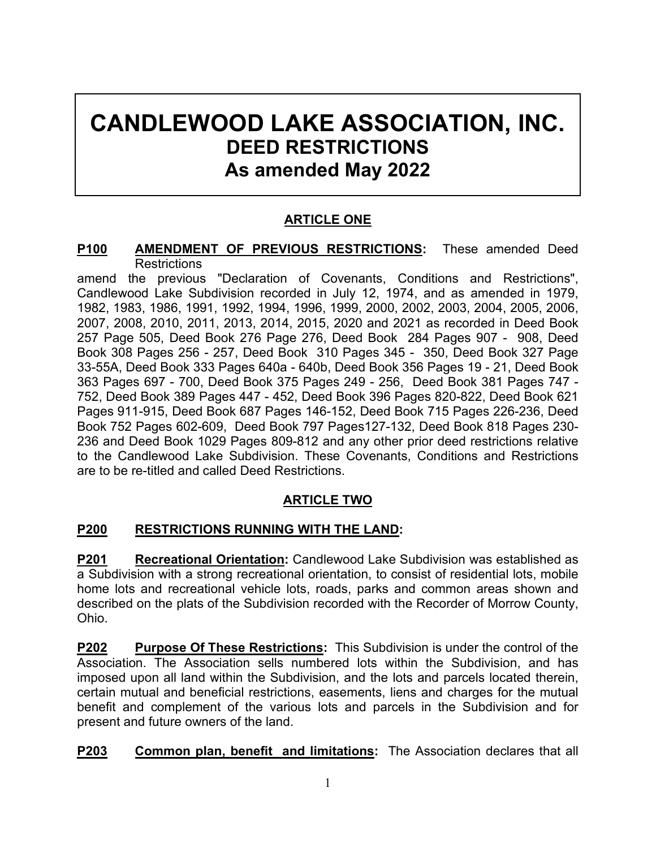# **CANDLEWOOD LAKE ASSOCIATION, INC. DEED RESTRICTIONS As amended May 2022**

# **ARTICLE ONE**

#### **P100 AMENDMENT OF PREVIOUS RESTRICTIONS:** These amended Deed **Restrictions**

amend the previous "Declaration of Covenants, Conditions and Restrictions", Candlewood Lake Subdivision recorded in July 12, 1974, and as amended in 1979, 1982, 1983, 1986, 1991, 1992, 1994, 1996, 1999, 2000, 2002, 2003, 2004, 2005, 2006, 2007, 2008, 2010, 2011, 2013, 2014, 2015, 2020 and 2021 as recorded in Deed Book 257 Page 505, Deed Book 276 Page 276, Deed Book 284 Pages 907 - 908, Deed Book 308 Pages 256 - 257, Deed Book 310 Pages 345 - 350, Deed Book 327 Page 33-55A, Deed Book 333 Pages 640a - 640b, Deed Book 356 Pages 19 - 21, Deed Book 363 Pages 697 - 700, Deed Book 375 Pages 249 - 256, Deed Book 381 Pages 747 - 752, Deed Book 389 Pages 447 - 452, Deed Book 396 Pages 820-822, Deed Book 621 Pages 911-915, Deed Book 687 Pages 146-152, Deed Book 715 Pages 226-236, Deed Book 752 Pages 602-609, Deed Book 797 Pages127-132, Deed Book 818 Pages 230- 236 and Deed Book 1029 Pages 809-812 and any other prior deed restrictions relative to the Candlewood Lake Subdivision. These Covenants, Conditions and Restrictions are to be re-titled and called Deed Restrictions.

# **ARTICLE TWO**

# **P200 RESTRICTIONS RUNNING WITH THE LAND:**

**P201 Recreational Orientation:** Candlewood Lake Subdivision was established as a Subdivision with a strong recreational orientation, to consist of residential lots, mobile home lots and recreational vehicle lots, roads, parks and common areas shown and described on the plats of the Subdivision recorded with the Recorder of Morrow County, Ohio.

**P202 Purpose Of These Restrictions:** This Subdivision is under the control of the Association. The Association sells numbered lots within the Subdivision, and has imposed upon all land within the Subdivision, and the lots and parcels located therein, certain mutual and beneficial restrictions, easements, liens and charges for the mutual benefit and complement of the various lots and parcels in the Subdivision and for present and future owners of the land.

**P203 Common plan, benefit and limitations:** The Association declares that all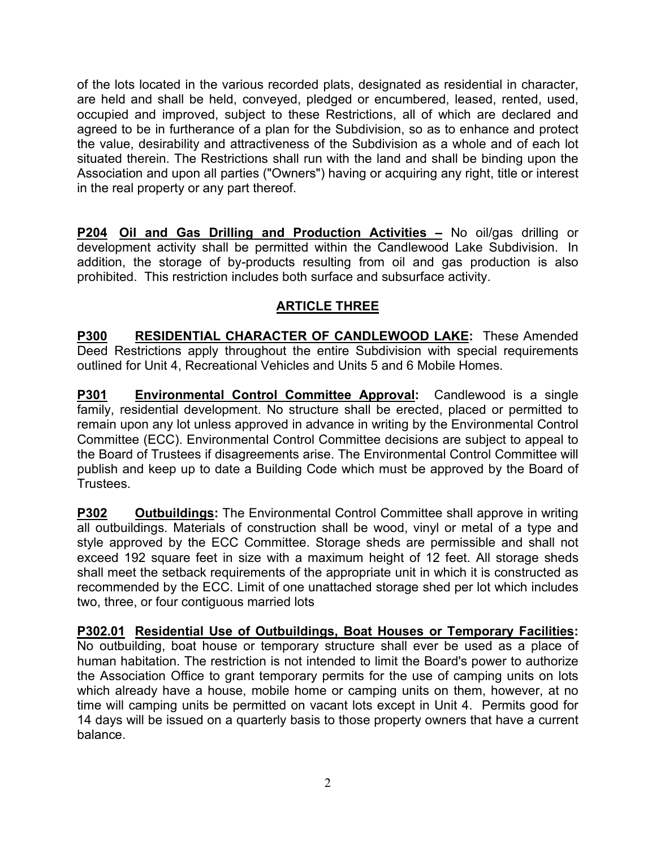of the lots located in the various recorded plats, designated as residential in character, are held and shall be held, conveyed, pledged or encumbered, leased, rented, used, occupied and improved, subject to these Restrictions, all of which are declared and agreed to be in furtherance of a plan for the Subdivision, so as to enhance and protect the value, desirability and attractiveness of the Subdivision as a whole and of each lot situated therein. The Restrictions shall run with the land and shall be binding upon the Association and upon all parties ("Owners") having or acquiring any right, title or interest in the real property or any part thereof.

**P204 Oil and Gas Drilling and Production Activities –** No oil/gas drilling or development activity shall be permitted within the Candlewood Lake Subdivision. In addition, the storage of by-products resulting from oil and gas production is also prohibited. This restriction includes both surface and subsurface activity.

# **ARTICLE THREE**

**P300 RESIDENTIAL CHARACTER OF CANDLEWOOD LAKE:** These Amended Deed Restrictions apply throughout the entire Subdivision with special requirements outlined for Unit 4, Recreational Vehicles and Units 5 and 6 Mobile Homes.

**P301 Environmental Control Committee Approval:** Candlewood is a single family, residential development. No structure shall be erected, placed or permitted to remain upon any lot unless approved in advance in writing by the Environmental Control Committee (ECC). Environmental Control Committee decisions are subject to appeal to the Board of Trustees if disagreements arise. The Environmental Control Committee will publish and keep up to date a Building Code which must be approved by the Board of Trustees.

**P302 Outbuildings:** The Environmental Control Committee shall approve in writing all outbuildings. Materials of construction shall be wood, vinyl or metal of a type and style approved by the ECC Committee. Storage sheds are permissible and shall not exceed 192 square feet in size with a maximum height of 12 feet. All storage sheds shall meet the setback requirements of the appropriate unit in which it is constructed as recommended by the ECC. Limit of one unattached storage shed per lot which includes two, three, or four contiguous married lots

**P302.01 Residential Use of Outbuildings, Boat Houses or Temporary Facilities:** No outbuilding, boat house or temporary structure shall ever be used as a place of human habitation. The restriction is not intended to limit the Board's power to authorize the Association Office to grant temporary permits for the use of camping units on lots which already have a house, mobile home or camping units on them, however, at no time will camping units be permitted on vacant lots except in Unit 4. Permits good for 14 days will be issued on a quarterly basis to those property owners that have a current balance.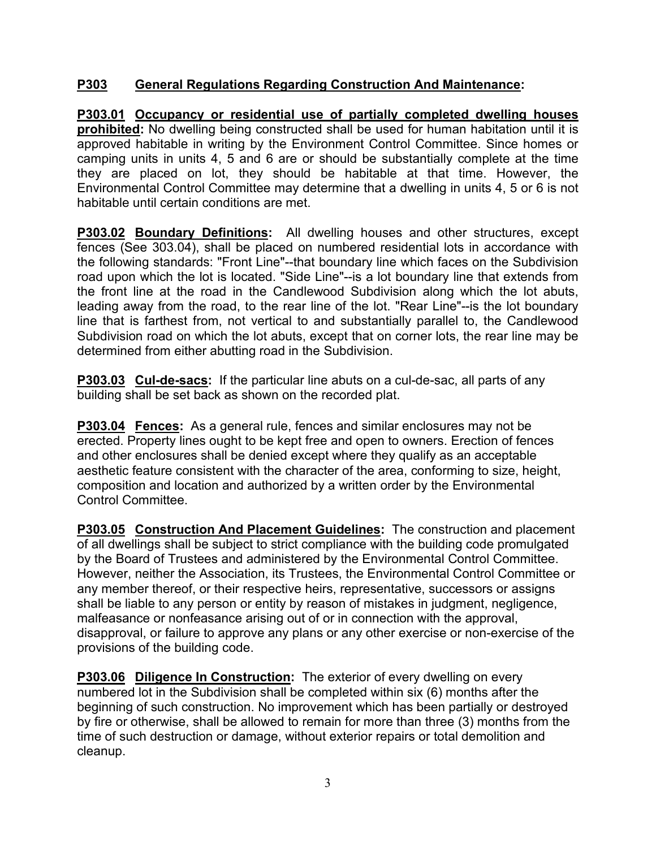## **P303 General Regulations Regarding Construction And Maintenance:**

**P303.01 Occupancy or residential use of partially completed dwelling houses prohibited:** No dwelling being constructed shall be used for human habitation until it is approved habitable in writing by the Environment Control Committee. Since homes or camping units in units 4, 5 and 6 are or should be substantially complete at the time they are placed on lot, they should be habitable at that time. However, the Environmental Control Committee may determine that a dwelling in units 4, 5 or 6 is not habitable until certain conditions are met.

**P303.02 Boundary Definitions:** All dwelling houses and other structures, except fences (See 303.04), shall be placed on numbered residential lots in accordance with the following standards: "Front Line"--that boundary line which faces on the Subdivision road upon which the lot is located. "Side Line"--is a lot boundary line that extends from the front line at the road in the Candlewood Subdivision along which the lot abuts, leading away from the road, to the rear line of the lot. "Rear Line"--is the lot boundary line that is farthest from, not vertical to and substantially parallel to, the Candlewood Subdivision road on which the lot abuts, except that on corner lots, the rear line may be determined from either abutting road in the Subdivision.

**P303.03 Cul-de-sacs:** If the particular line abuts on a cul-de-sac, all parts of any building shall be set back as shown on the recorded plat.

**P303.04 Fences:** As a general rule, fences and similar enclosures may not be erected. Property lines ought to be kept free and open to owners. Erection of fences and other enclosures shall be denied except where they qualify as an acceptable aesthetic feature consistent with the character of the area, conforming to size, height, composition and location and authorized by a written order by the Environmental Control Committee.

**P303.05 Construction And Placement Guidelines:** The construction and placement of all dwellings shall be subject to strict compliance with the building code promulgated by the Board of Trustees and administered by the Environmental Control Committee. However, neither the Association, its Trustees, the Environmental Control Committee or any member thereof, or their respective heirs, representative, successors or assigns shall be liable to any person or entity by reason of mistakes in judgment, negligence, malfeasance or nonfeasance arising out of or in connection with the approval, disapproval, or failure to approve any plans or any other exercise or non-exercise of the provisions of the building code.

**P303.06 Diligence In Construction:** The exterior of every dwelling on every numbered lot in the Subdivision shall be completed within six (6) months after the beginning of such construction. No improvement which has been partially or destroyed by fire or otherwise, shall be allowed to remain for more than three (3) months from the time of such destruction or damage, without exterior repairs or total demolition and cleanup.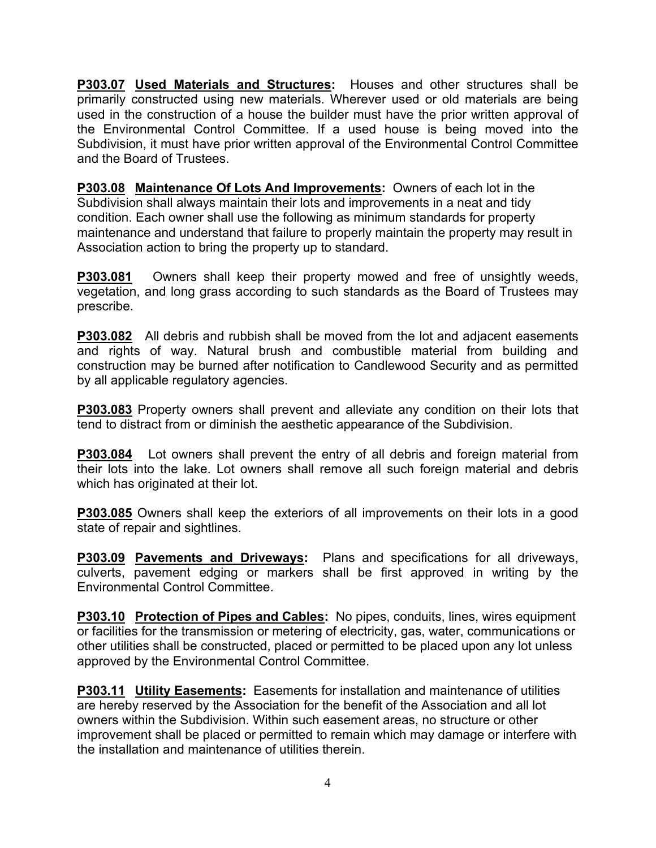**P303.07 Used Materials and Structures:** Houses and other structures shall be primarily constructed using new materials. Wherever used or old materials are being used in the construction of a house the builder must have the prior written approval of the Environmental Control Committee. If a used house is being moved into the Subdivision, it must have prior written approval of the Environmental Control Committee and the Board of Trustees.

**P303.08 Maintenance Of Lots And Improvements:** Owners of each lot in the Subdivision shall always maintain their lots and improvements in a neat and tidy condition. Each owner shall use the following as minimum standards for property maintenance and understand that failure to properly maintain the property may result in Association action to bring the property up to standard.

**P303.081** Owners shall keep their property mowed and free of unsightly weeds, vegetation, and long grass according to such standards as the Board of Trustees may prescribe.

**P303.082** All debris and rubbish shall be moved from the lot and adjacent easements and rights of way. Natural brush and combustible material from building and construction may be burned after notification to Candlewood Security and as permitted by all applicable regulatory agencies.

**P303.083** Property owners shall prevent and alleviate any condition on their lots that tend to distract from or diminish the aesthetic appearance of the Subdivision.

**P303.084** Lot owners shall prevent the entry of all debris and foreign material from their lots into the lake. Lot owners shall remove all such foreign material and debris which has originated at their lot.

**P303.085** Owners shall keep the exteriors of all improvements on their lots in a good state of repair and sightlines.

**P303.09 Pavements and Driveways:** Plans and specifications for all driveways, culverts, pavement edging or markers shall be first approved in writing by the Environmental Control Committee.

**P303.10 Protection of Pipes and Cables:** No pipes, conduits, lines, wires equipment or facilities for the transmission or metering of electricity, gas, water, communications or other utilities shall be constructed, placed or permitted to be placed upon any lot unless approved by the Environmental Control Committee.

**P303.11 Utility Easements:** Easements for installation and maintenance of utilities are hereby reserved by the Association for the benefit of the Association and all lot owners within the Subdivision. Within such easement areas, no structure or other improvement shall be placed or permitted to remain which may damage or interfere with the installation and maintenance of utilities therein.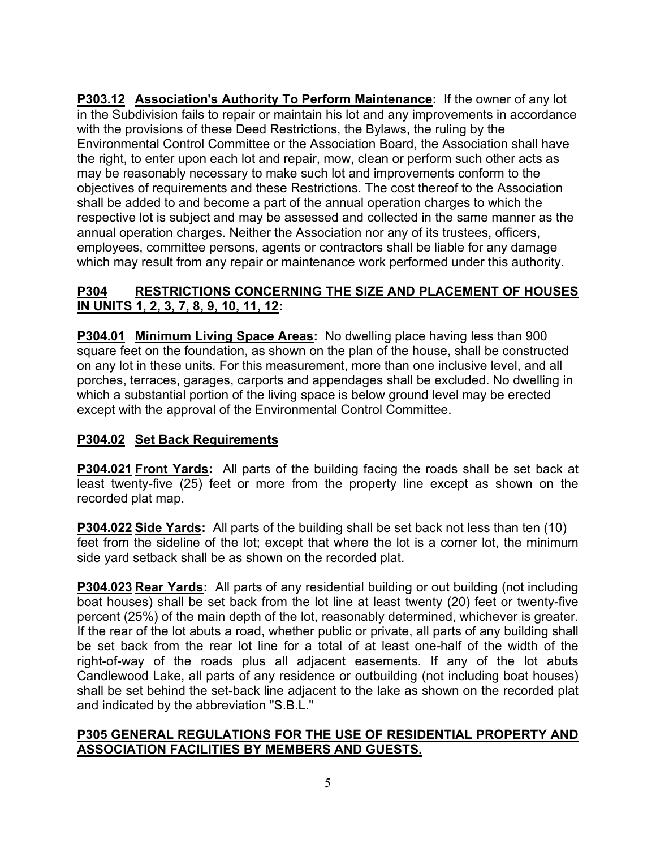**P303.12 Association's Authority To Perform Maintenance:** If the owner of any lot in the Subdivision fails to repair or maintain his lot and any improvements in accordance with the provisions of these Deed Restrictions, the Bylaws, the ruling by the Environmental Control Committee or the Association Board, the Association shall have the right, to enter upon each lot and repair, mow, clean or perform such other acts as may be reasonably necessary to make such lot and improvements conform to the objectives of requirements and these Restrictions. The cost thereof to the Association shall be added to and become a part of the annual operation charges to which the respective lot is subject and may be assessed and collected in the same manner as the annual operation charges. Neither the Association nor any of its trustees, officers, employees, committee persons, agents or contractors shall be liable for any damage which may result from any repair or maintenance work performed under this authority.

## **P304 RESTRICTIONS CONCERNING THE SIZE AND PLACEMENT OF HOUSES IN UNITS 1, 2, 3, 7, 8, 9, 10, 11, 12:**

**P304.01 Minimum Living Space Areas:** No dwelling place having less than 900 square feet on the foundation, as shown on the plan of the house, shall be constructed on any lot in these units. For this measurement, more than one inclusive level, and all porches, terraces, garages, carports and appendages shall be excluded. No dwelling in which a substantial portion of the living space is below ground level may be erected except with the approval of the Environmental Control Committee.

## **P304.02 Set Back Requirements**

**P304.021 Front Yards:** All parts of the building facing the roads shall be set back at least twenty-five (25) feet or more from the property line except as shown on the recorded plat map.

**P304.022 Side Yards:** All parts of the building shall be set back not less than ten (10) feet from the sideline of the lot; except that where the lot is a corner lot, the minimum side yard setback shall be as shown on the recorded plat.

**P304.023 Rear Yards:** All parts of any residential building or out building (not including boat houses) shall be set back from the lot line at least twenty (20) feet or twenty-five percent (25%) of the main depth of the lot, reasonably determined, whichever is greater. If the rear of the lot abuts a road, whether public or private, all parts of any building shall be set back from the rear lot line for a total of at least one-half of the width of the right-of-way of the roads plus all adjacent easements. If any of the lot abuts Candlewood Lake, all parts of any residence or outbuilding (not including boat houses) shall be set behind the set-back line adjacent to the lake as shown on the recorded plat and indicated by the abbreviation "S.B.L."

#### **P305 GENERAL REGULATIONS FOR THE USE OF RESIDENTIAL PROPERTY AND ASSOCIATION FACILITIES BY MEMBERS AND GUESTS.**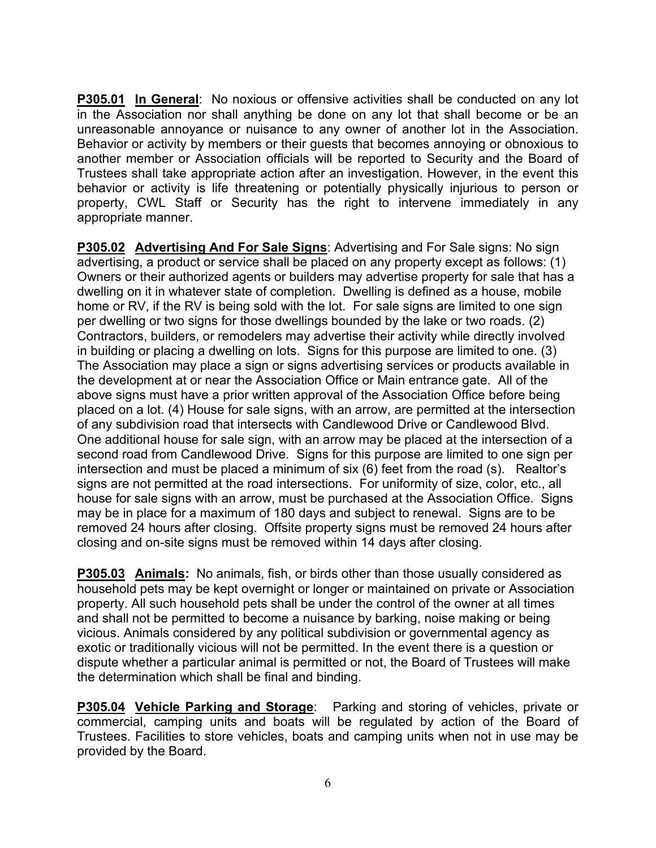**P305.01 In General**: No noxious or offensive activities shall be conducted on any lot in the Association nor shall anything be done on any lot that shall become or be an unreasonable annoyance or nuisance to any owner of another lot in the Association. Behavior or activity by members or their guests that becomes annoying or obnoxious to another member or Association officials will be reported to Security and the Board of Trustees shall take appropriate action after an investigation. However, in the event this behavior or activity is life threatening or potentially physically injurious to person or property, CWL Staff or Security has the right to intervene immediately in any appropriate manner.

**P305.02 Advertising And For Sale Signs**: Advertising and For Sale signs: No sign advertising, a product or service shall be placed on any property except as follows: (1) Owners or their authorized agents or builders may advertise property for sale that has a dwelling on it in whatever state of completion. Dwelling is defined as a house, mobile home or RV, if the RV is being sold with the lot. For sale signs are limited to one sign per dwelling or two signs for those dwellings bounded by the lake or two roads. (2) Contractors, builders, or remodelers may advertise their activity while directly involved in building or placing a dwelling on lots. Signs for this purpose are limited to one. (3) The Association may place a sign or signs advertising services or products available in the development at or near the Association Office or Main entrance gate. All of the above signs must have a prior written approval of the Association Office before being placed on a lot. (4) House for sale signs, with an arrow, are permitted at the intersection of any subdivision road that intersects with Candlewood Drive or Candlewood Blvd. One additional house for sale sign, with an arrow may be placed at the intersection of a second road from Candlewood Drive. Signs for this purpose are limited to one sign per intersection and must be placed a minimum of six (6) feet from the road (s). Realtor's signs are not permitted at the road intersections. For uniformity of size, color, etc., all house for sale signs with an arrow, must be purchased at the Association Office. Signs may be in place for a maximum of 180 days and subject to renewal. Signs are to be removed 24 hours after closing. Offsite property signs must be removed 24 hours after closing and on-site signs must be removed within 14 days after closing.

**P305.03 Animals:** No animals, fish, or birds other than those usually considered as household pets may be kept overnight or longer or maintained on private or Association property. All such household pets shall be under the control of the owner at all times and shall not be permitted to become a nuisance by barking, noise making or being vicious. Animals considered by any political subdivision or governmental agency as exotic or traditionally vicious will not be permitted. In the event there is a question or dispute whether a particular animal is permitted or not, the Board of Trustees will make the determination which shall be final and binding.

**P305.04 Vehicle Parking and Storage**: Parking and storing of vehicles, private or commercial, camping units and boats will be regulated by action of the Board of Trustees. Facilities to store vehicles, boats and camping units when not in use may be provided by the Board.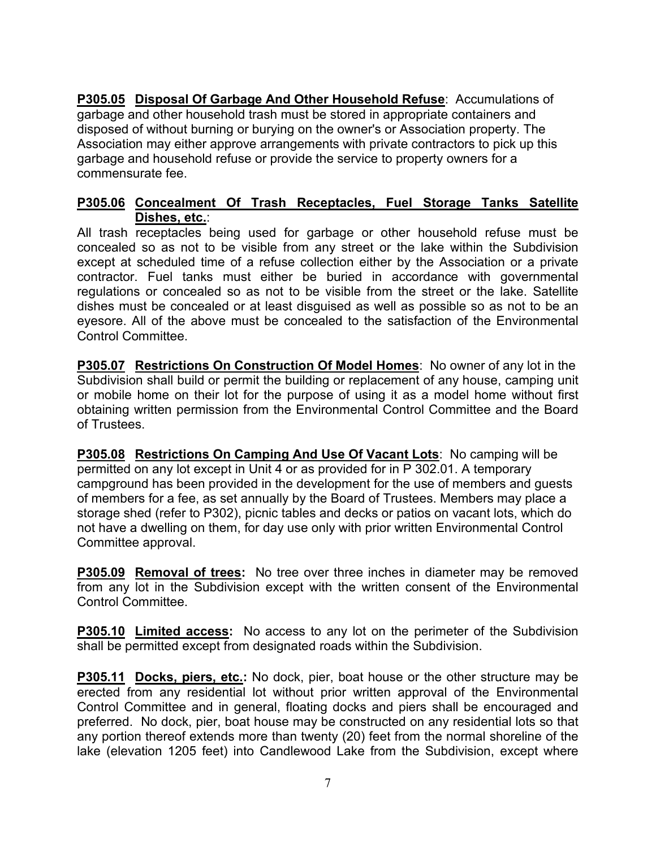**P305.05 Disposal Of Garbage And Other Household Refuse**: Accumulations of garbage and other household trash must be stored in appropriate containers and disposed of without burning or burying on the owner's or Association property. The Association may either approve arrangements with private contractors to pick up this garbage and household refuse or provide the service to property owners for a commensurate fee.

#### **P305.06 Concealment Of Trash Receptacles, Fuel Storage Tanks Satellite Dishes, etc.**:

All trash receptacles being used for garbage or other household refuse must be concealed so as not to be visible from any street or the lake within the Subdivision except at scheduled time of a refuse collection either by the Association or a private contractor. Fuel tanks must either be buried in accordance with governmental regulations or concealed so as not to be visible from the street or the lake. Satellite dishes must be concealed or at least disguised as well as possible so as not to be an eyesore. All of the above must be concealed to the satisfaction of the Environmental Control Committee.

**P305.07 Restrictions On Construction Of Model Homes**: No owner of any lot in the Subdivision shall build or permit the building or replacement of any house, camping unit or mobile home on their lot for the purpose of using it as a model home without first obtaining written permission from the Environmental Control Committee and the Board of Trustees.

**P305.08 Restrictions On Camping And Use Of Vacant Lots**: No camping will be permitted on any lot except in Unit 4 or as provided for in P 302.01. A temporary campground has been provided in the development for the use of members and guests of members for a fee, as set annually by the Board of Trustees. Members may place a storage shed (refer to P302), picnic tables and decks or patios on vacant lots, which do not have a dwelling on them, for day use only with prior written Environmental Control Committee approval.

**P305.09 Removal of trees:** No tree over three inches in diameter may be removed from any lot in the Subdivision except with the written consent of the Environmental Control Committee.

**P305.10 Limited access:** No access to any lot on the perimeter of the Subdivision shall be permitted except from designated roads within the Subdivision.

**P305.11 Docks, piers, etc.:** No dock, pier, boat house or the other structure may be erected from any residential lot without prior written approval of the Environmental Control Committee and in general, floating docks and piers shall be encouraged and preferred. No dock, pier, boat house may be constructed on any residential lots so that any portion thereof extends more than twenty (20) feet from the normal shoreline of the lake (elevation 1205 feet) into Candlewood Lake from the Subdivision, except where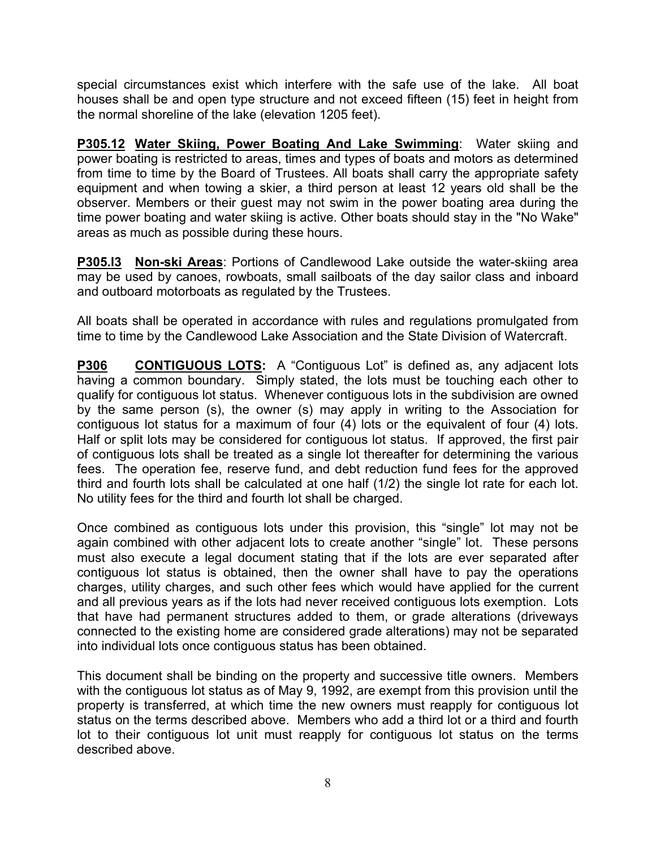special circumstances exist which interfere with the safe use of the lake. All boat houses shall be and open type structure and not exceed fifteen (15) feet in height from the normal shoreline of the lake (elevation 1205 feet).

**P305.12 Water Skiing, Power Boating And Lake Swimming**: Water skiing and power boating is restricted to areas, times and types of boats and motors as determined from time to time by the Board of Trustees. All boats shall carry the appropriate safety equipment and when towing a skier, a third person at least 12 years old shall be the observer. Members or their guest may not swim in the power boating area during the time power boating and water skiing is active. Other boats should stay in the "No Wake" areas as much as possible during these hours.

**P305.l3 Non-ski Areas**: Portions of Candlewood Lake outside the water-skiing area may be used by canoes, rowboats, small sailboats of the day sailor class and inboard and outboard motorboats as regulated by the Trustees.

All boats shall be operated in accordance with rules and regulations promulgated from time to time by the Candlewood Lake Association and the State Division of Watercraft.

**P306 CONTIGUOUS LOTS:** A "Contiguous Lot" is defined as, any adjacent lots having a common boundary. Simply stated, the lots must be touching each other to qualify for contiguous lot status. Whenever contiguous lots in the subdivision are owned by the same person (s), the owner (s) may apply in writing to the Association for contiguous lot status for a maximum of four (4) lots or the equivalent of four (4) lots. Half or split lots may be considered for contiguous lot status. If approved, the first pair of contiguous lots shall be treated as a single lot thereafter for determining the various fees. The operation fee, reserve fund, and debt reduction fund fees for the approved third and fourth lots shall be calculated at one half (1/2) the single lot rate for each lot. No utility fees for the third and fourth lot shall be charged.

Once combined as contiguous lots under this provision, this "single" lot may not be again combined with other adjacent lots to create another "single" lot. These persons must also execute a legal document stating that if the lots are ever separated after contiguous lot status is obtained, then the owner shall have to pay the operations charges, utility charges, and such other fees which would have applied for the current and all previous years as if the lots had never received contiguous lots exemption. Lots that have had permanent structures added to them, or grade alterations (driveways connected to the existing home are considered grade alterations) may not be separated into individual lots once contiguous status has been obtained.

This document shall be binding on the property and successive title owners. Members with the contiguous lot status as of May 9, 1992, are exempt from this provision until the property is transferred, at which time the new owners must reapply for contiguous lot status on the terms described above. Members who add a third lot or a third and fourth lot to their contiguous lot unit must reapply for contiguous lot status on the terms described above.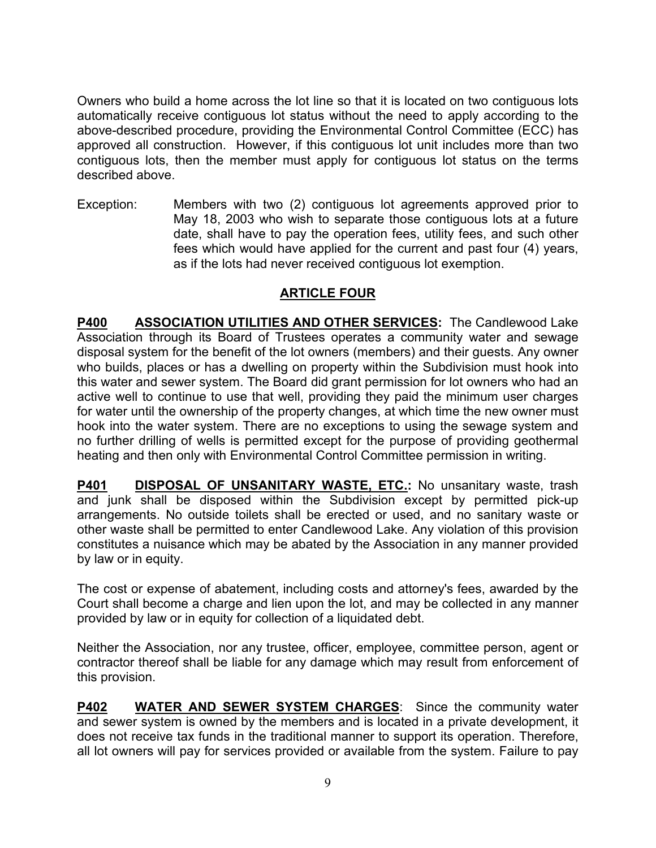Owners who build a home across the lot line so that it is located on two contiguous lots automatically receive contiguous lot status without the need to apply according to the above-described procedure, providing the Environmental Control Committee (ECC) has approved all construction. However, if this contiguous lot unit includes more than two contiguous lots, then the member must apply for contiguous lot status on the terms described above.

Exception: Members with two (2) contiguous lot agreements approved prior to May 18, 2003 who wish to separate those contiguous lots at a future date, shall have to pay the operation fees, utility fees, and such other fees which would have applied for the current and past four (4) years, as if the lots had never received contiguous lot exemption.

## **ARTICLE FOUR**

**P400 ASSOCIATION UTILITIES AND OTHER SERVICES:** The Candlewood Lake Association through its Board of Trustees operates a community water and sewage disposal system for the benefit of the lot owners (members) and their guests. Any owner who builds, places or has a dwelling on property within the Subdivision must hook into this water and sewer system. The Board did grant permission for lot owners who had an active well to continue to use that well, providing they paid the minimum user charges for water until the ownership of the property changes, at which time the new owner must hook into the water system. There are no exceptions to using the sewage system and no further drilling of wells is permitted except for the purpose of providing geothermal heating and then only with Environmental Control Committee permission in writing.

**P401** DISPOSAL OF UNSANITARY WASTE, ETC.: No unsanitary waste, trash and junk shall be disposed within the Subdivision except by permitted pick-up arrangements. No outside toilets shall be erected or used, and no sanitary waste or other waste shall be permitted to enter Candlewood Lake. Any violation of this provision constitutes a nuisance which may be abated by the Association in any manner provided by law or in equity.

The cost or expense of abatement, including costs and attorney's fees, awarded by the Court shall become a charge and lien upon the lot, and may be collected in any manner provided by law or in equity for collection of a liquidated debt.

Neither the Association, nor any trustee, officer, employee, committee person, agent or contractor thereof shall be liable for any damage which may result from enforcement of this provision.

**P402 WATER AND SEWER SYSTEM CHARGES**: Since the community water and sewer system is owned by the members and is located in a private development, it does not receive tax funds in the traditional manner to support its operation. Therefore, all lot owners will pay for services provided or available from the system. Failure to pay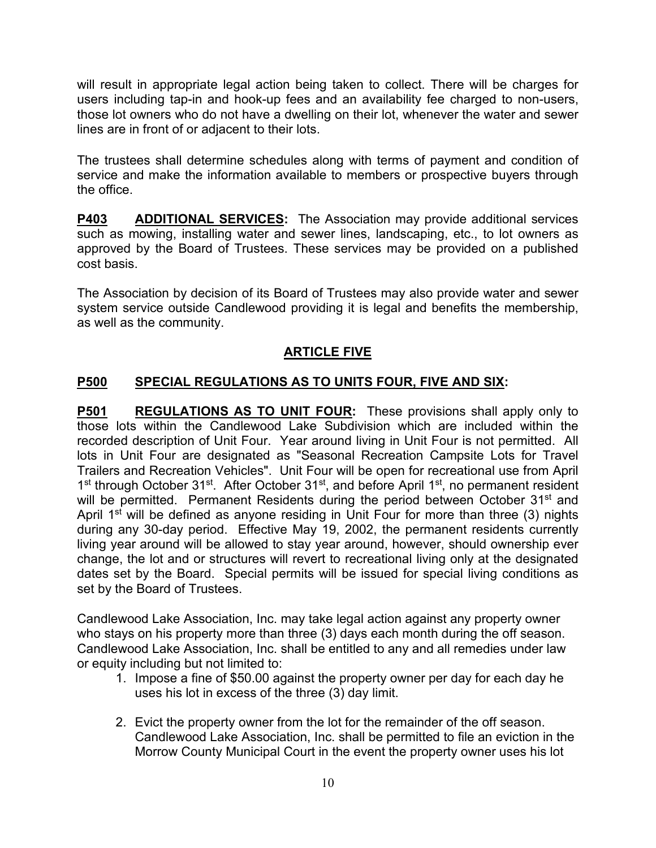will result in appropriate legal action being taken to collect. There will be charges for users including tap-in and hook-up fees and an availability fee charged to non-users, those lot owners who do not have a dwelling on their lot, whenever the water and sewer lines are in front of or adjacent to their lots.

The trustees shall determine schedules along with terms of payment and condition of service and make the information available to members or prospective buyers through the office.

**P403 ADDITIONAL SERVICES:** The Association may provide additional services such as mowing, installing water and sewer lines, landscaping, etc., to lot owners as approved by the Board of Trustees. These services may be provided on a published cost basis.

The Association by decision of its Board of Trustees may also provide water and sewer system service outside Candlewood providing it is legal and benefits the membership, as well as the community.

# **ARTICLE FIVE**

# **P500 SPECIAL REGULATIONS AS TO UNITS FOUR, FIVE AND SIX:**

**P501 REGULATIONS AS TO UNIT FOUR:** These provisions shall apply only to those lots within the Candlewood Lake Subdivision which are included within the recorded description of Unit Four. Year around living in Unit Four is not permitted. All lots in Unit Four are designated as "Seasonal Recreation Campsite Lots for Travel Trailers and Recreation Vehicles". Unit Four will be open for recreational use from April 1<sup>st</sup> through October 31<sup>st</sup>. After October 31<sup>st</sup>, and before April 1<sup>st</sup>, no permanent resident will be permitted. Permanent Residents during the period between October 31<sup>st</sup> and April 1<sup>st</sup> will be defined as anyone residing in Unit Four for more than three (3) nights during any 30-day period. Effective May 19, 2002, the permanent residents currently living year around will be allowed to stay year around, however, should ownership ever change, the lot and or structures will revert to recreational living only at the designated dates set by the Board. Special permits will be issued for special living conditions as set by the Board of Trustees.

Candlewood Lake Association, Inc. may take legal action against any property owner who stays on his property more than three (3) days each month during the off season. Candlewood Lake Association, Inc. shall be entitled to any and all remedies under law or equity including but not limited to:

- 1. Impose a fine of \$50.00 against the property owner per day for each day he uses his lot in excess of the three (3) day limit.
- 2. Evict the property owner from the lot for the remainder of the off season. Candlewood Lake Association, Inc. shall be permitted to file an eviction in the Morrow County Municipal Court in the event the property owner uses his lot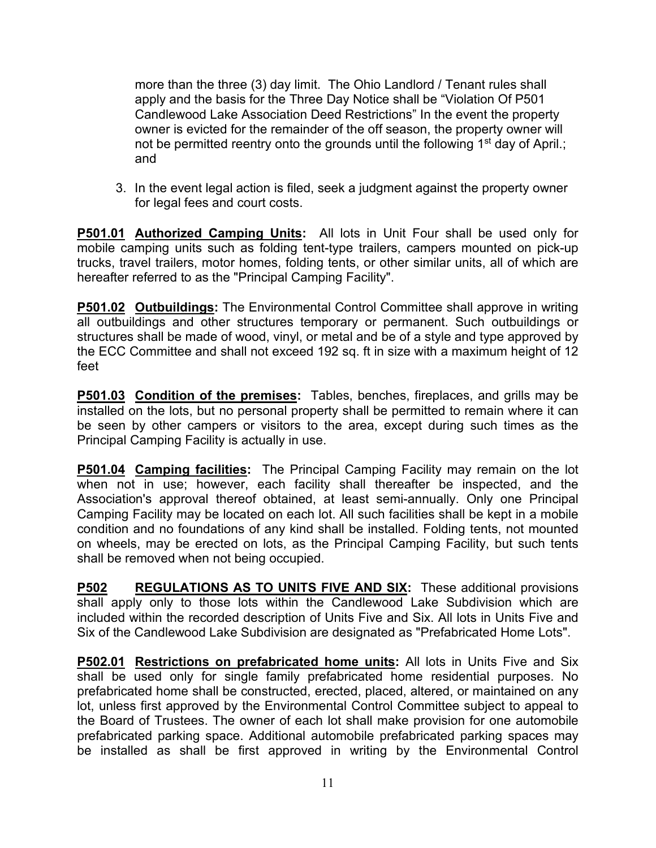more than the three (3) day limit. The Ohio Landlord / Tenant rules shall apply and the basis for the Three Day Notice shall be "Violation Of P501 Candlewood Lake Association Deed Restrictions" In the event the property owner is evicted for the remainder of the off season, the property owner will not be permitted reentry onto the grounds until the following 1<sup>st</sup> day of April.; and

3. In the event legal action is filed, seek a judgment against the property owner for legal fees and court costs.

**P501.01 Authorized Camping Units:** All lots in Unit Four shall be used only for mobile camping units such as folding tent-type trailers, campers mounted on pick-up trucks, travel trailers, motor homes, folding tents, or other similar units, all of which are hereafter referred to as the "Principal Camping Facility".

**P501.02 Outbuildings:** The Environmental Control Committee shall approve in writing all outbuildings and other structures temporary or permanent. Such outbuildings or structures shall be made of wood, vinyl, or metal and be of a style and type approved by the ECC Committee and shall not exceed 192 sq. ft in size with a maximum height of 12 feet

**P501.03 Condition of the premises:** Tables, benches, fireplaces, and grills may be installed on the lots, but no personal property shall be permitted to remain where it can be seen by other campers or visitors to the area, except during such times as the Principal Camping Facility is actually in use.

**P501.04 Camping facilities:** The Principal Camping Facility may remain on the lot when not in use; however, each facility shall thereafter be inspected, and the Association's approval thereof obtained, at least semi-annually. Only one Principal Camping Facility may be located on each lot. All such facilities shall be kept in a mobile condition and no foundations of any kind shall be installed. Folding tents, not mounted on wheels, may be erected on lots, as the Principal Camping Facility, but such tents shall be removed when not being occupied.

**P502 REGULATIONS AS TO UNITS FIVE AND SIX:** These additional provisions shall apply only to those lots within the Candlewood Lake Subdivision which are included within the recorded description of Units Five and Six. All lots in Units Five and Six of the Candlewood Lake Subdivision are designated as "Prefabricated Home Lots".

**P502.01 Restrictions on prefabricated home units:** All lots in Units Five and Six shall be used only for single family prefabricated home residential purposes. No prefabricated home shall be constructed, erected, placed, altered, or maintained on any lot, unless first approved by the Environmental Control Committee subject to appeal to the Board of Trustees. The owner of each lot shall make provision for one automobile prefabricated parking space. Additional automobile prefabricated parking spaces may be installed as shall be first approved in writing by the Environmental Control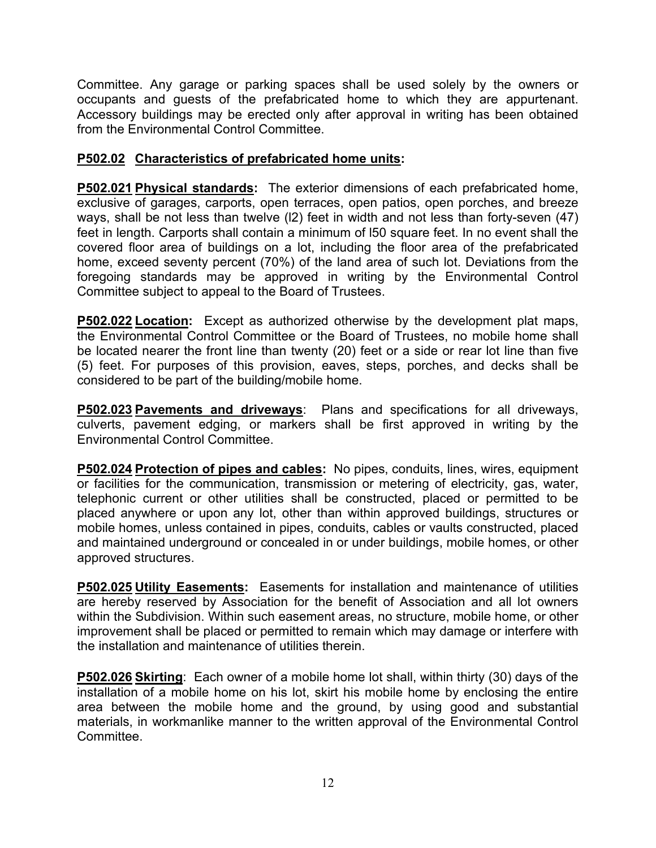Committee. Any garage or parking spaces shall be used solely by the owners or occupants and guests of the prefabricated home to which they are appurtenant. Accessory buildings may be erected only after approval in writing has been obtained from the Environmental Control Committee.

#### **P502.02 Characteristics of prefabricated home units:**

**P502.021 Physical standards:** The exterior dimensions of each prefabricated home, exclusive of garages, carports, open terraces, open patios, open porches, and breeze ways, shall be not less than twelve (l2) feet in width and not less than forty-seven (47) feet in length. Carports shall contain a minimum of l50 square feet. In no event shall the covered floor area of buildings on a lot, including the floor area of the prefabricated home, exceed seventy percent (70%) of the land area of such lot. Deviations from the foregoing standards may be approved in writing by the Environmental Control Committee subject to appeal to the Board of Trustees.

**P502.022 Location:** Except as authorized otherwise by the development plat maps, the Environmental Control Committee or the Board of Trustees, no mobile home shall be located nearer the front line than twenty (20) feet or a side or rear lot line than five (5) feet. For purposes of this provision, eaves, steps, porches, and decks shall be considered to be part of the building/mobile home.

**P502.023 Pavements and driveways**: Plans and specifications for all driveways, culverts, pavement edging, or markers shall be first approved in writing by the Environmental Control Committee.

**P502.024 Protection of pipes and cables:** No pipes, conduits, lines, wires, equipment or facilities for the communication, transmission or metering of electricity, gas, water, telephonic current or other utilities shall be constructed, placed or permitted to be placed anywhere or upon any lot, other than within approved buildings, structures or mobile homes, unless contained in pipes, conduits, cables or vaults constructed, placed and maintained underground or concealed in or under buildings, mobile homes, or other approved structures.

**P502.025 Utility Easements:** Easements for installation and maintenance of utilities are hereby reserved by Association for the benefit of Association and all lot owners within the Subdivision. Within such easement areas, no structure, mobile home, or other improvement shall be placed or permitted to remain which may damage or interfere with the installation and maintenance of utilities therein.

**P502.026 Skirting**: Each owner of a mobile home lot shall, within thirty (30) days of the installation of a mobile home on his lot, skirt his mobile home by enclosing the entire area between the mobile home and the ground, by using good and substantial materials, in workmanlike manner to the written approval of the Environmental Control Committee.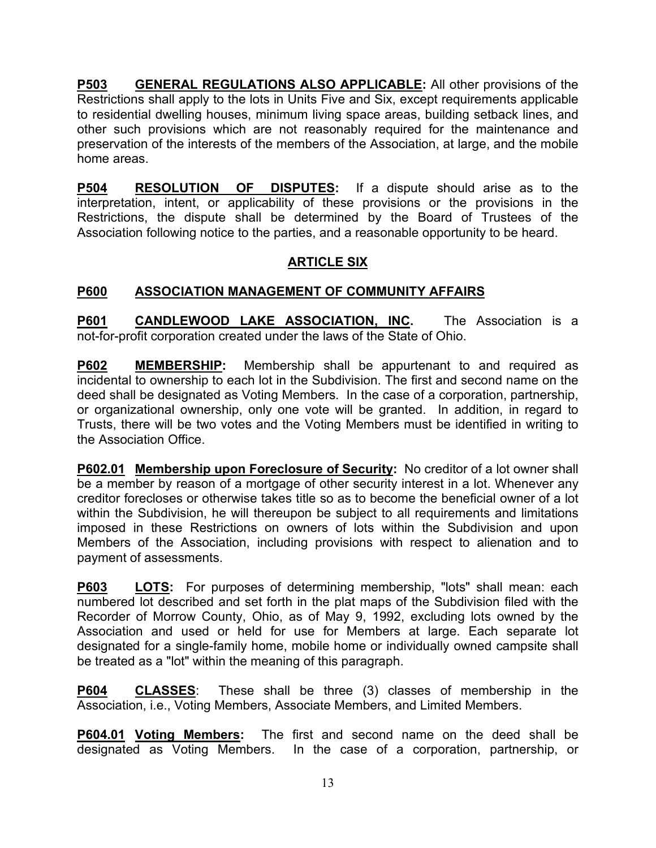**P503 GENERAL REGULATIONS ALSO APPLICABLE:** All other provisions of the Restrictions shall apply to the lots in Units Five and Six, except requirements applicable to residential dwelling houses, minimum living space areas, building setback lines, and other such provisions which are not reasonably required for the maintenance and preservation of the interests of the members of the Association, at large, and the mobile home areas.

**P504 RESOLUTION OF DISPUTES:** If a dispute should arise as to the interpretation, intent, or applicability of these provisions or the provisions in the Restrictions, the dispute shall be determined by the Board of Trustees of the Association following notice to the parties, and a reasonable opportunity to be heard.

# **ARTICLE SIX**

## **P600 ASSOCIATION MANAGEMENT OF COMMUNITY AFFAIRS**

**P601 CANDLEWOOD LAKE ASSOCIATION, INC.** The Association is a not-for-profit corporation created under the laws of the State of Ohio.

**P602 MEMBERSHIP:** Membership shall be appurtenant to and required as incidental to ownership to each lot in the Subdivision. The first and second name on the deed shall be designated as Voting Members. In the case of a corporation, partnership, or organizational ownership, only one vote will be granted. In addition, in regard to Trusts, there will be two votes and the Voting Members must be identified in writing to the Association Office.

**P602.01 Membership upon Foreclosure of Security:** No creditor of a lot owner shall be a member by reason of a mortgage of other security interest in a lot. Whenever any creditor forecloses or otherwise takes title so as to become the beneficial owner of a lot within the Subdivision, he will thereupon be subject to all requirements and limitations imposed in these Restrictions on owners of lots within the Subdivision and upon Members of the Association, including provisions with respect to alienation and to payment of assessments.

**P603 LOTS:** For purposes of determining membership, "lots" shall mean: each numbered lot described and set forth in the plat maps of the Subdivision filed with the Recorder of Morrow County, Ohio, as of May 9, 1992, excluding lots owned by the Association and used or held for use for Members at large. Each separate lot designated for a single-family home, mobile home or individually owned campsite shall be treated as a "lot" within the meaning of this paragraph.

**P604 CLASSES**: These shall be three (3) classes of membership in the Association, i.e., Voting Members, Associate Members, and Limited Members.

**P604.01 Voting Members:** The first and second name on the deed shall be designated as Voting Members. In the case of a corporation, partnership, or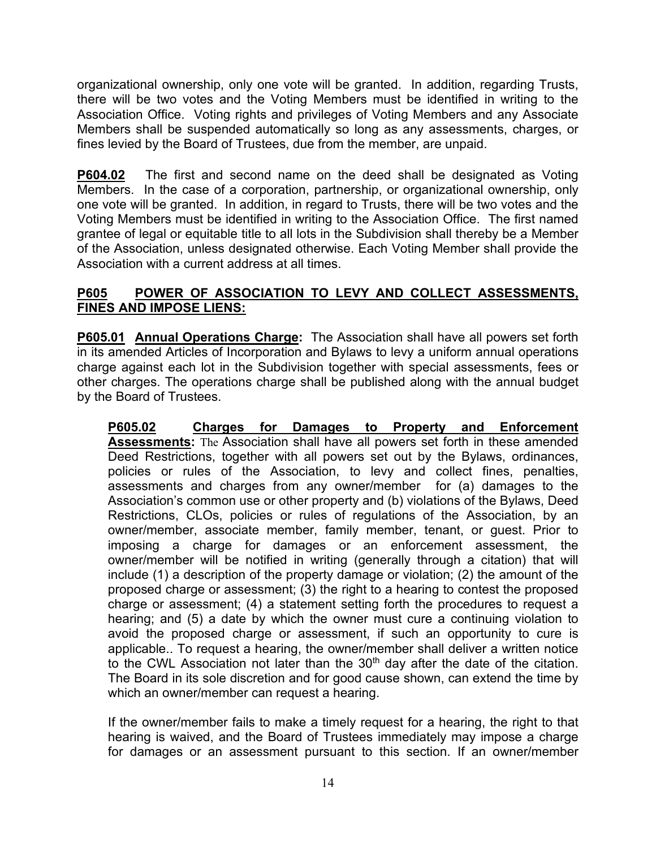organizational ownership, only one vote will be granted. In addition, regarding Trusts, there will be two votes and the Voting Members must be identified in writing to the Association Office. Voting rights and privileges of Voting Members and any Associate Members shall be suspended automatically so long as any assessments, charges, or fines levied by the Board of Trustees, due from the member, are unpaid.

**P604.02** The first and second name on the deed shall be designated as Voting Members. In the case of a corporation, partnership, or organizational ownership, only one vote will be granted. In addition, in regard to Trusts, there will be two votes and the Voting Members must be identified in writing to the Association Office. The first named grantee of legal or equitable title to all lots in the Subdivision shall thereby be a Member of the Association, unless designated otherwise. Each Voting Member shall provide the Association with a current address at all times.

#### **P605 POWER OF ASSOCIATION TO LEVY AND COLLECT ASSESSMENTS, FINES AND IMPOSE LIENS:**

**P605.01 Annual Operations Charge:** The Association shall have all powers set forth in its amended Articles of Incorporation and Bylaws to levy a uniform annual operations charge against each lot in the Subdivision together with special assessments, fees or other charges. The operations charge shall be published along with the annual budget by the Board of Trustees.

**P605.02 Charges for Damages to Property and Enforcement Assessments:** The Association shall have all powers set forth in these amended Deed Restrictions, together with all powers set out by the Bylaws, ordinances, policies or rules of the Association, to levy and collect fines, penalties, assessments and charges from any owner/member for (a) damages to the Association's common use or other property and (b) violations of the Bylaws, Deed Restrictions, CLOs, policies or rules of regulations of the Association, by an owner/member, associate member, family member, tenant, or guest. Prior to imposing a charge for damages or an enforcement assessment, the owner/member will be notified in writing (generally through a citation) that will include (1) a description of the property damage or violation; (2) the amount of the proposed charge or assessment; (3) the right to a hearing to contest the proposed charge or assessment; (4) a statement setting forth the procedures to request a hearing; and (5) a date by which the owner must cure a continuing violation to avoid the proposed charge or assessment, if such an opportunity to cure is applicable.. To request a hearing, the owner/member shall deliver a written notice to the CWL Association not later than the 30<sup>th</sup> day after the date of the citation. The Board in its sole discretion and for good cause shown, can extend the time by which an owner/member can request a hearing.

If the owner/member fails to make a timely request for a hearing, the right to that hearing is waived, and the Board of Trustees immediately may impose a charge for damages or an assessment pursuant to this section. If an owner/member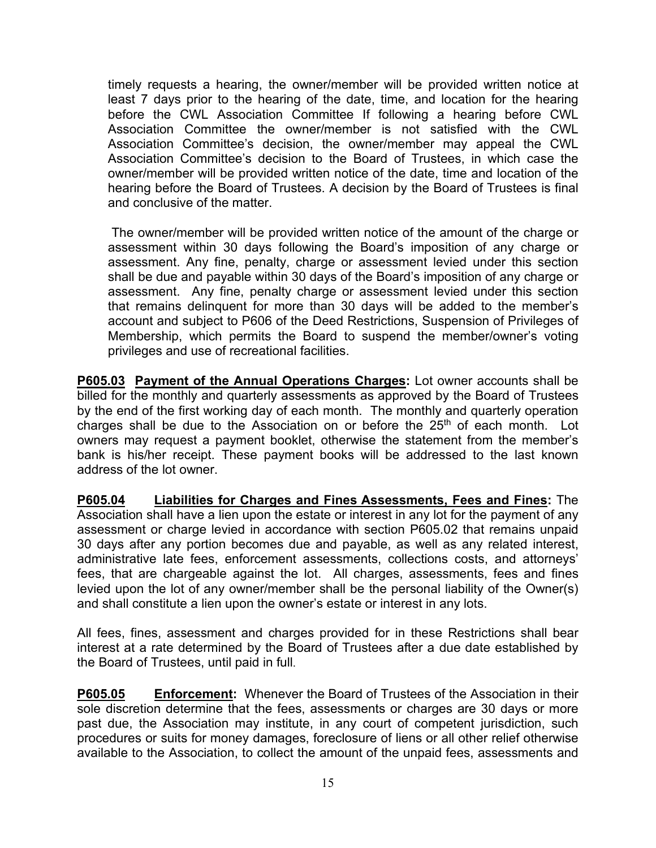timely requests a hearing, the owner/member will be provided written notice at least 7 days prior to the hearing of the date, time, and location for the hearing before the CWL Association Committee If following a hearing before CWL Association Committee the owner/member is not satisfied with the CWL Association Committee's decision, the owner/member may appeal the CWL Association Committee's decision to the Board of Trustees, in which case the owner/member will be provided written notice of the date, time and location of the hearing before the Board of Trustees. A decision by the Board of Trustees is final and conclusive of the matter.

The owner/member will be provided written notice of the amount of the charge or assessment within 30 days following the Board's imposition of any charge or assessment. Any fine, penalty, charge or assessment levied under this section shall be due and payable within 30 days of the Board's imposition of any charge or assessment. Any fine, penalty charge or assessment levied under this section that remains delinquent for more than 30 days will be added to the member's account and subject to P606 of the Deed Restrictions, Suspension of Privileges of Membership, which permits the Board to suspend the member/owner's voting privileges and use of recreational facilities.

**P605.03 Payment of the Annual Operations Charges:** Lot owner accounts shall be billed for the monthly and quarterly assessments as approved by the Board of Trustees by the end of the first working day of each month. The monthly and quarterly operation charges shall be due to the Association on or before the  $25<sup>th</sup>$  of each month. Lot owners may request a payment booklet, otherwise the statement from the member's bank is his/her receipt. These payment books will be addressed to the last known address of the lot owner.

**P605.04 Liabilities for Charges and Fines Assessments, Fees and Fines:** The Association shall have a lien upon the estate or interest in any lot for the payment of any assessment or charge levied in accordance with section P605.02 that remains unpaid 30 days after any portion becomes due and payable, as well as any related interest, administrative late fees, enforcement assessments, collections costs, and attorneys' fees, that are chargeable against the lot. All charges, assessments, fees and fines levied upon the lot of any owner/member shall be the personal liability of the Owner(s) and shall constitute a lien upon the owner's estate or interest in any lots.

All fees, fines, assessment and charges provided for in these Restrictions shall bear interest at a rate determined by the Board of Trustees after a due date established by the Board of Trustees, until paid in full.

**P605.05 Enforcement:** Whenever the Board of Trustees of the Association in their sole discretion determine that the fees, assessments or charges are 30 days or more past due, the Association may institute, in any court of competent jurisdiction, such procedures or suits for money damages, foreclosure of liens or all other relief otherwise available to the Association, to collect the amount of the unpaid fees, assessments and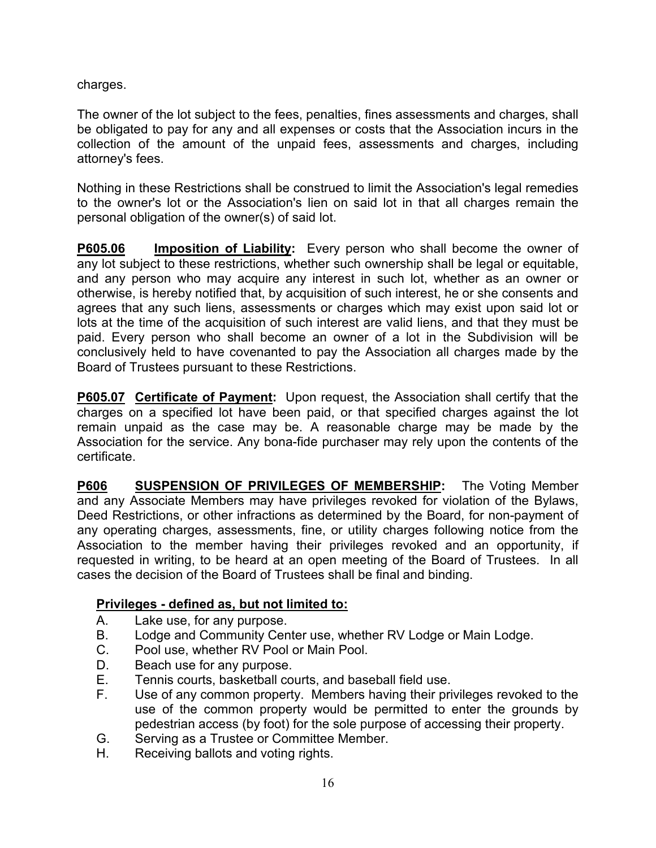charges.

The owner of the lot subject to the fees, penalties, fines assessments and charges, shall be obligated to pay for any and all expenses or costs that the Association incurs in the collection of the amount of the unpaid fees, assessments and charges, including attorney's fees.

Nothing in these Restrictions shall be construed to limit the Association's legal remedies to the owner's lot or the Association's lien on said lot in that all charges remain the personal obligation of the owner(s) of said lot.

**P605.06 Imposition of Liability:** Every person who shall become the owner of any lot subject to these restrictions, whether such ownership shall be legal or equitable, and any person who may acquire any interest in such lot, whether as an owner or otherwise, is hereby notified that, by acquisition of such interest, he or she consents and agrees that any such liens, assessments or charges which may exist upon said lot or lots at the time of the acquisition of such interest are valid liens, and that they must be paid. Every person who shall become an owner of a lot in the Subdivision will be conclusively held to have covenanted to pay the Association all charges made by the Board of Trustees pursuant to these Restrictions.

**P605.07 Certificate of Payment:** Upon request, the Association shall certify that the charges on a specified lot have been paid, or that specified charges against the lot remain unpaid as the case may be. A reasonable charge may be made by the Association for the service. Any bona-fide purchaser may rely upon the contents of the certificate.

**P606 SUSPENSION OF PRIVILEGES OF MEMBERSHIP:** The Voting Member and any Associate Members may have privileges revoked for violation of the Bylaws, Deed Restrictions, or other infractions as determined by the Board, for non-payment of any operating charges, assessments, fine, or utility charges following notice from the Association to the member having their privileges revoked and an opportunity, if requested in writing, to be heard at an open meeting of the Board of Trustees. In all cases the decision of the Board of Trustees shall be final and binding.

## **Privileges - defined as, but not limited to:**

- A. Lake use, for any purpose.
- B. Lodge and Community Center use, whether RV Lodge or Main Lodge.
- C. Pool use, whether RV Pool or Main Pool.
- D. Beach use for any purpose.
- E. Tennis courts, basketball courts, and baseball field use.
- F. Use of any common property. Members having their privileges revoked to the use of the common property would be permitted to enter the grounds by pedestrian access (by foot) for the sole purpose of accessing their property.
- G. Serving as a Trustee or Committee Member.
- H. Receiving ballots and voting rights.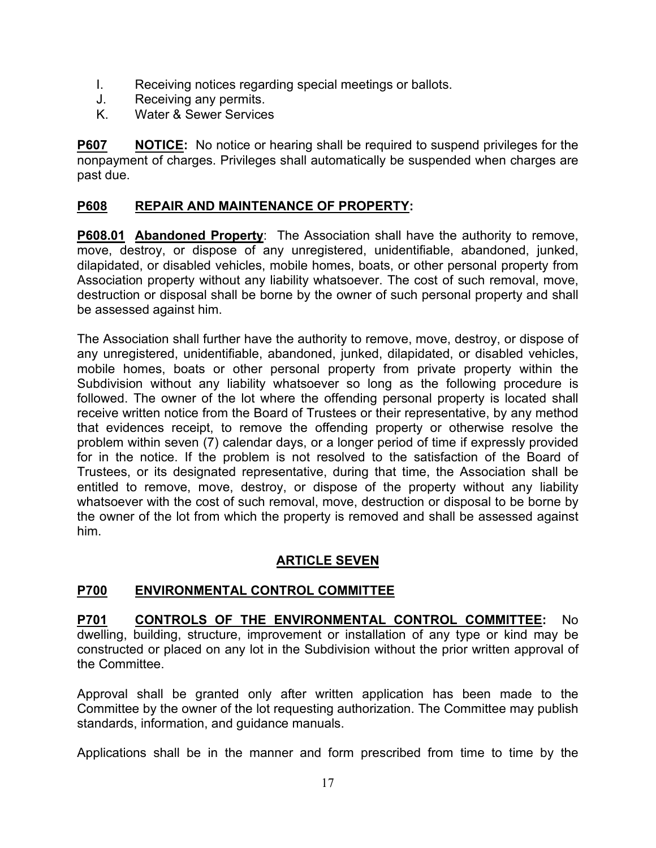- I. Receiving notices regarding special meetings or ballots.
- J. Receiving any permits.
- K. Water & Sewer Services

**P607 NOTICE:** No notice or hearing shall be required to suspend privileges for the nonpayment of charges. Privileges shall automatically be suspended when charges are past due.

#### **P608 REPAIR AND MAINTENANCE OF PROPERTY:**

**P608.01 Abandoned Property**: The Association shall have the authority to remove, move, destroy, or dispose of any unregistered, unidentifiable, abandoned, junked, dilapidated, or disabled vehicles, mobile homes, boats, or other personal property from Association property without any liability whatsoever. The cost of such removal, move, destruction or disposal shall be borne by the owner of such personal property and shall be assessed against him.

The Association shall further have the authority to remove, move, destroy, or dispose of any unregistered, unidentifiable, abandoned, junked, dilapidated, or disabled vehicles, mobile homes, boats or other personal property from private property within the Subdivision without any liability whatsoever so long as the following procedure is followed. The owner of the lot where the offending personal property is located shall receive written notice from the Board of Trustees or their representative, by any method that evidences receipt, to remove the offending property or otherwise resolve the problem within seven (7) calendar days, or a longer period of time if expressly provided for in the notice. If the problem is not resolved to the satisfaction of the Board of Trustees, or its designated representative, during that time, the Association shall be entitled to remove, move, destroy, or dispose of the property without any liability whatsoever with the cost of such removal, move, destruction or disposal to be borne by the owner of the lot from which the property is removed and shall be assessed against him.

## **ARTICLE SEVEN**

## **P700 ENVIRONMENTAL CONTROL COMMITTEE**

**P701 CONTROLS OF THE ENVIRONMENTAL CONTROL COMMITTEE:** No dwelling, building, structure, improvement or installation of any type or kind may be constructed or placed on any lot in the Subdivision without the prior written approval of the Committee.

Approval shall be granted only after written application has been made to the Committee by the owner of the lot requesting authorization. The Committee may publish standards, information, and guidance manuals.

Applications shall be in the manner and form prescribed from time to time by the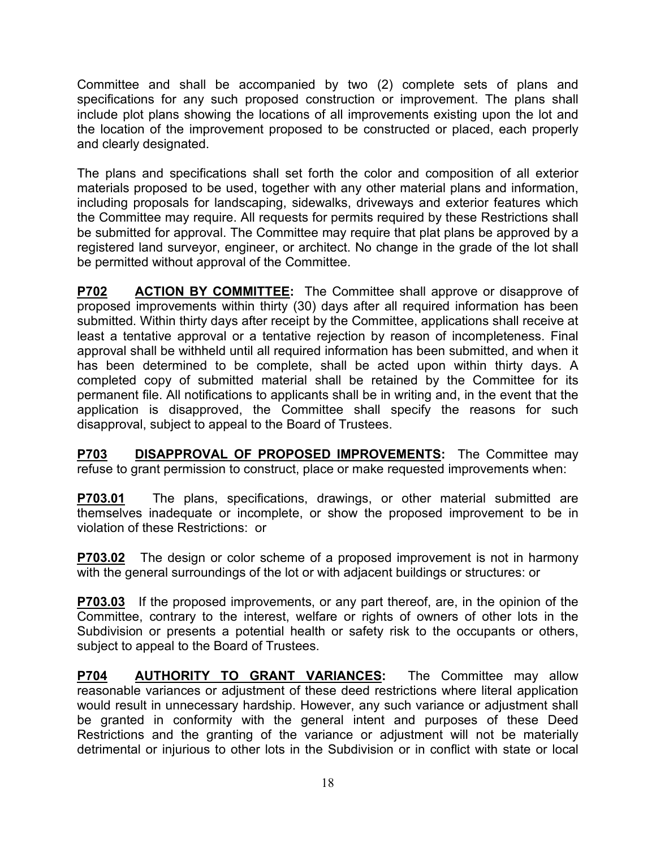Committee and shall be accompanied by two (2) complete sets of plans and specifications for any such proposed construction or improvement. The plans shall include plot plans showing the locations of all improvements existing upon the lot and the location of the improvement proposed to be constructed or placed, each properly and clearly designated.

The plans and specifications shall set forth the color and composition of all exterior materials proposed to be used, together with any other material plans and information, including proposals for landscaping, sidewalks, driveways and exterior features which the Committee may require. All requests for permits required by these Restrictions shall be submitted for approval. The Committee may require that plat plans be approved by a registered land surveyor, engineer, or architect. No change in the grade of the lot shall be permitted without approval of the Committee.

**P702 ACTION BY COMMITTEE:** The Committee shall approve or disapprove of proposed improvements within thirty (30) days after all required information has been submitted. Within thirty days after receipt by the Committee, applications shall receive at least a tentative approval or a tentative rejection by reason of incompleteness. Final approval shall be withheld until all required information has been submitted, and when it has been determined to be complete, shall be acted upon within thirty days. A completed copy of submitted material shall be retained by the Committee for its permanent file. All notifications to applicants shall be in writing and, in the event that the application is disapproved, the Committee shall specify the reasons for such disapproval, subject to appeal to the Board of Trustees.

**P703 DISAPPROVAL OF PROPOSED IMPROVEMENTS:** The Committee may refuse to grant permission to construct, place or make requested improvements when:

**P703.01** The plans, specifications, drawings, or other material submitted are themselves inadequate or incomplete, or show the proposed improvement to be in violation of these Restrictions: or

**P703.02** The design or color scheme of a proposed improvement is not in harmony with the general surroundings of the lot or with adjacent buildings or structures: or

**P703.03** If the proposed improvements, or any part thereof, are, in the opinion of the Committee, contrary to the interest, welfare or rights of owners of other lots in the Subdivision or presents a potential health or safety risk to the occupants or others, subject to appeal to the Board of Trustees.

**P704 AUTHORITY TO GRANT VARIANCES:** The Committee may allow reasonable variances or adjustment of these deed restrictions where literal application would result in unnecessary hardship. However, any such variance or adjustment shall be granted in conformity with the general intent and purposes of these Deed Restrictions and the granting of the variance or adjustment will not be materially detrimental or injurious to other lots in the Subdivision or in conflict with state or local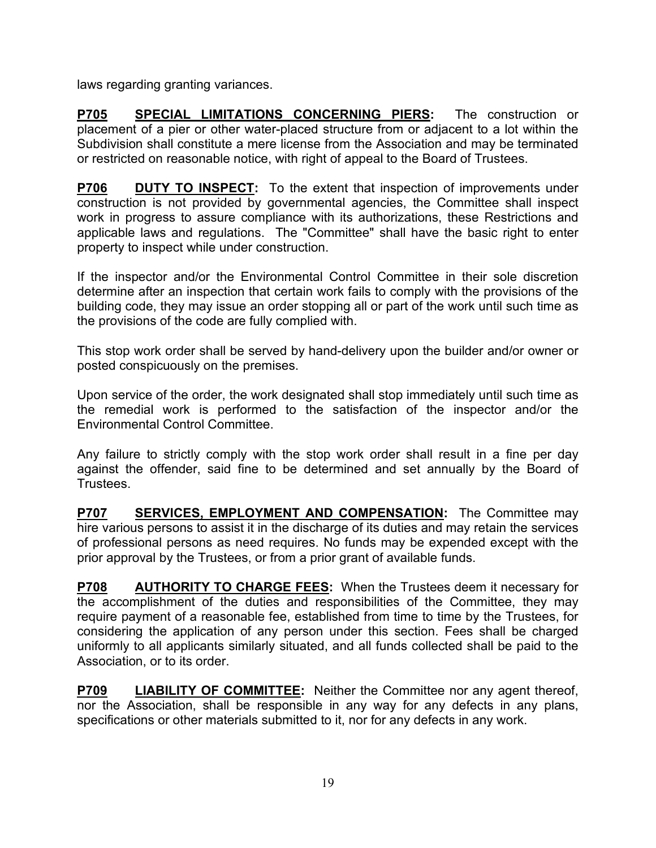laws regarding granting variances.

**P705 SPECIAL LIMITATIONS CONCERNING PIERS:** The construction or placement of a pier or other water-placed structure from or adjacent to a lot within the Subdivision shall constitute a mere license from the Association and may be terminated or restricted on reasonable notice, with right of appeal to the Board of Trustees.

**P706 DUTY TO INSPECT:** To the extent that inspection of improvements under construction is not provided by governmental agencies, the Committee shall inspect work in progress to assure compliance with its authorizations, these Restrictions and applicable laws and regulations. The "Committee" shall have the basic right to enter property to inspect while under construction.

If the inspector and/or the Environmental Control Committee in their sole discretion determine after an inspection that certain work fails to comply with the provisions of the building code, they may issue an order stopping all or part of the work until such time as the provisions of the code are fully complied with.

This stop work order shall be served by hand-delivery upon the builder and/or owner or posted conspicuously on the premises.

Upon service of the order, the work designated shall stop immediately until such time as the remedial work is performed to the satisfaction of the inspector and/or the Environmental Control Committee.

Any failure to strictly comply with the stop work order shall result in a fine per day against the offender, said fine to be determined and set annually by the Board of Trustees.

**P707 SERVICES, EMPLOYMENT AND COMPENSATION:** The Committee may hire various persons to assist it in the discharge of its duties and may retain the services of professional persons as need requires. No funds may be expended except with the prior approval by the Trustees, or from a prior grant of available funds.

**P708 AUTHORITY TO CHARGE FEES:** When the Trustees deem it necessary for the accomplishment of the duties and responsibilities of the Committee, they may require payment of a reasonable fee, established from time to time by the Trustees, for considering the application of any person under this section. Fees shall be charged uniformly to all applicants similarly situated, and all funds collected shall be paid to the Association, or to its order.

**P709 LIABILITY OF COMMITTEE:** Neither the Committee nor any agent thereof, nor the Association, shall be responsible in any way for any defects in any plans, specifications or other materials submitted to it, nor for any defects in any work.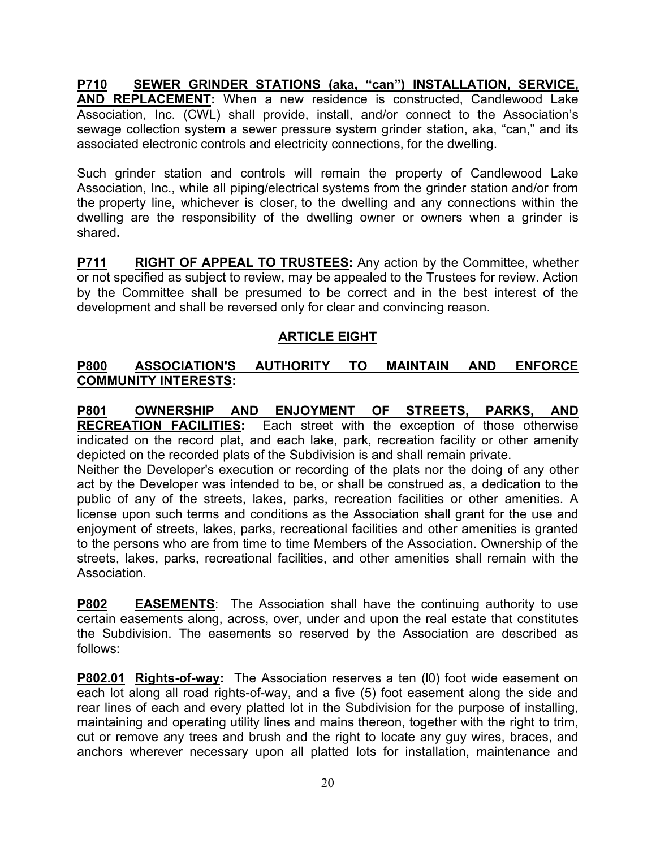**P710 SEWER GRINDER STATIONS (aka, "can") INSTALLATION, SERVICE, AND REPLACEMENT:** When a new residence is constructed, Candlewood Lake Association, Inc. (CWL) shall provide, install, and/or connect to the Association's sewage collection system a sewer pressure system grinder station, aka, "can," and its associated electronic controls and electricity connections, for the dwelling.

Such grinder station and controls will remain the property of Candlewood Lake Association, Inc., while all piping/electrical systems from the grinder station and/or from the property line, whichever is closer, to the dwelling and any connections within the dwelling are the responsibility of the dwelling owner or owners when a grinder is shared**.** 

**P711 RIGHT OF APPEAL TO TRUSTEES:** Any action by the Committee, whether or not specified as subject to review, may be appealed to the Trustees for review. Action by the Committee shall be presumed to be correct and in the best interest of the development and shall be reversed only for clear and convincing reason.

## **ARTICLE EIGHT**

## **P800 ASSOCIATION'S AUTHORITY TO MAINTAIN AND ENFORCE COMMUNITY INTERESTS:**

**P801 OWNERSHIP AND ENJOYMENT OF STREETS, PARKS, AND RECREATION FACILITIES:** Each street with the exception of those otherwise indicated on the record plat, and each lake, park, recreation facility or other amenity depicted on the recorded plats of the Subdivision is and shall remain private.

Neither the Developer's execution or recording of the plats nor the doing of any other act by the Developer was intended to be, or shall be construed as, a dedication to the public of any of the streets, lakes, parks, recreation facilities or other amenities. A license upon such terms and conditions as the Association shall grant for the use and enjoyment of streets, lakes, parks, recreational facilities and other amenities is granted to the persons who are from time to time Members of the Association. Ownership of the streets, lakes, parks, recreational facilities, and other amenities shall remain with the Association.

**P802 EASEMENTS**: The Association shall have the continuing authority to use certain easements along, across, over, under and upon the real estate that constitutes the Subdivision. The easements so reserved by the Association are described as follows:

**P802.01 Rights-of-way:** The Association reserves a ten (l0) foot wide easement on each lot along all road rights-of-way, and a five (5) foot easement along the side and rear lines of each and every platted lot in the Subdivision for the purpose of installing, maintaining and operating utility lines and mains thereon, together with the right to trim, cut or remove any trees and brush and the right to locate any guy wires, braces, and anchors wherever necessary upon all platted lots for installation, maintenance and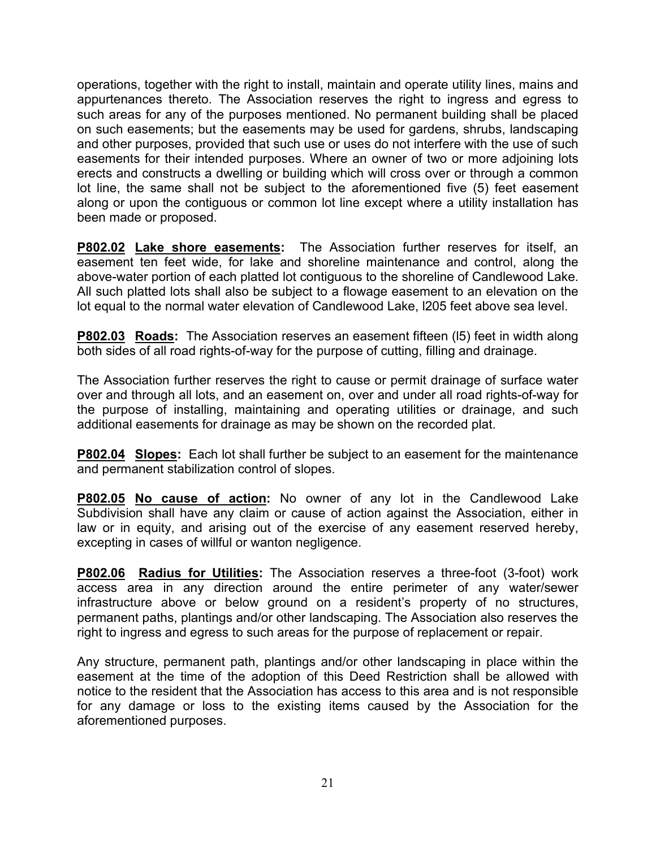operations, together with the right to install, maintain and operate utility lines, mains and appurtenances thereto. The Association reserves the right to ingress and egress to such areas for any of the purposes mentioned. No permanent building shall be placed on such easements; but the easements may be used for gardens, shrubs, landscaping and other purposes, provided that such use or uses do not interfere with the use of such easements for their intended purposes. Where an owner of two or more adjoining lots erects and constructs a dwelling or building which will cross over or through a common lot line, the same shall not be subject to the aforementioned five (5) feet easement along or upon the contiguous or common lot line except where a utility installation has been made or proposed.

**P802.02 Lake shore easements:** The Association further reserves for itself, an easement ten feet wide, for lake and shoreline maintenance and control, along the above-water portion of each platted lot contiguous to the shoreline of Candlewood Lake. All such platted lots shall also be subject to a flowage easement to an elevation on the lot equal to the normal water elevation of Candlewood Lake, l205 feet above sea level.

**P802.03 Roads:** The Association reserves an easement fifteen (l5) feet in width along both sides of all road rights-of-way for the purpose of cutting, filling and drainage.

The Association further reserves the right to cause or permit drainage of surface water over and through all lots, and an easement on, over and under all road rights-of-way for the purpose of installing, maintaining and operating utilities or drainage, and such additional easements for drainage as may be shown on the recorded plat.

**P802.04 Slopes:** Each lot shall further be subject to an easement for the maintenance and permanent stabilization control of slopes.

**P802.05 No cause of action:** No owner of any lot in the Candlewood Lake Subdivision shall have any claim or cause of action against the Association, either in law or in equity, and arising out of the exercise of any easement reserved hereby, excepting in cases of willful or wanton negligence.

**P802.06 Radius for Utilities:** The Association reserves a three-foot (3-foot) work access area in any direction around the entire perimeter of any water/sewer infrastructure above or below ground on a resident's property of no structures, permanent paths, plantings and/or other landscaping. The Association also reserves the right to ingress and egress to such areas for the purpose of replacement or repair.

Any structure, permanent path, plantings and/or other landscaping in place within the easement at the time of the adoption of this Deed Restriction shall be allowed with notice to the resident that the Association has access to this area and is not responsible for any damage or loss to the existing items caused by the Association for the aforementioned purposes.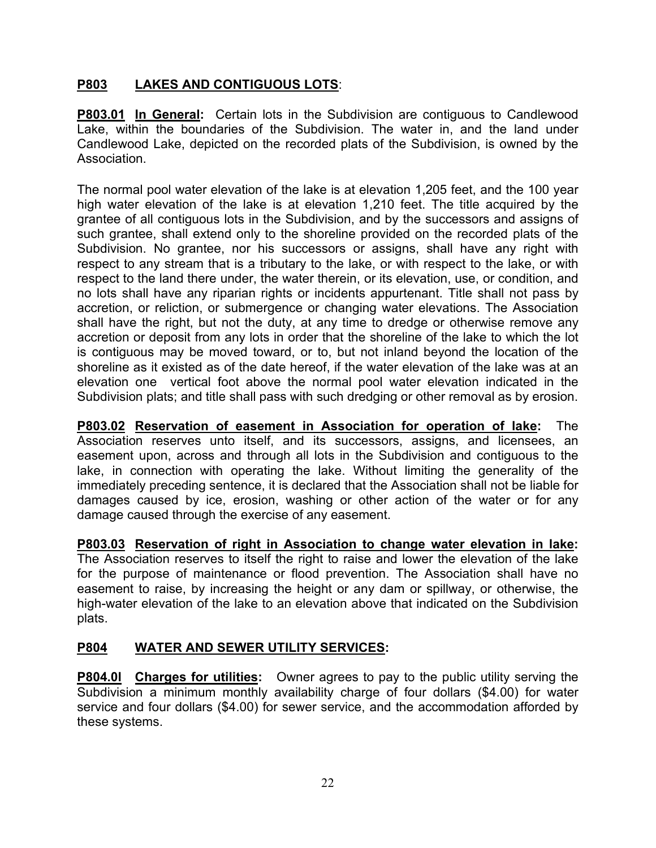## **P803 LAKES AND CONTIGUOUS LOTS**:

**P803.01 In General:** Certain lots in the Subdivision are contiguous to Candlewood Lake, within the boundaries of the Subdivision. The water in, and the land under Candlewood Lake, depicted on the recorded plats of the Subdivision, is owned by the Association.

The normal pool water elevation of the lake is at elevation 1,205 feet, and the 100 year high water elevation of the lake is at elevation 1,210 feet. The title acquired by the grantee of all contiguous lots in the Subdivision, and by the successors and assigns of such grantee, shall extend only to the shoreline provided on the recorded plats of the Subdivision. No grantee, nor his successors or assigns, shall have any right with respect to any stream that is a tributary to the lake, or with respect to the lake, or with respect to the land there under, the water therein, or its elevation, use, or condition, and no lots shall have any riparian rights or incidents appurtenant. Title shall not pass by accretion, or reliction, or submergence or changing water elevations. The Association shall have the right, but not the duty, at any time to dredge or otherwise remove any accretion or deposit from any lots in order that the shoreline of the lake to which the lot is contiguous may be moved toward, or to, but not inland beyond the location of the shoreline as it existed as of the date hereof, if the water elevation of the lake was at an elevation one vertical foot above the normal pool water elevation indicated in the Subdivision plats; and title shall pass with such dredging or other removal as by erosion.

**P803.02 Reservation of easement in Association for operation of lake:** The Association reserves unto itself, and its successors, assigns, and licensees, an easement upon, across and through all lots in the Subdivision and contiguous to the lake, in connection with operating the lake. Without limiting the generality of the immediately preceding sentence, it is declared that the Association shall not be liable for damages caused by ice, erosion, washing or other action of the water or for any damage caused through the exercise of any easement.

**P803.03 Reservation of right in Association to change water elevation in lake:** The Association reserves to itself the right to raise and lower the elevation of the lake for the purpose of maintenance or flood prevention. The Association shall have no easement to raise, by increasing the height or any dam or spillway, or otherwise, the high-water elevation of the lake to an elevation above that indicated on the Subdivision plats.

# **P804 WATER AND SEWER UTILITY SERVICES:**

**P804.0l Charges for utilities:** Owner agrees to pay to the public utility serving the Subdivision a minimum monthly availability charge of four dollars (\$4.00) for water service and four dollars (\$4.00) for sewer service, and the accommodation afforded by these systems.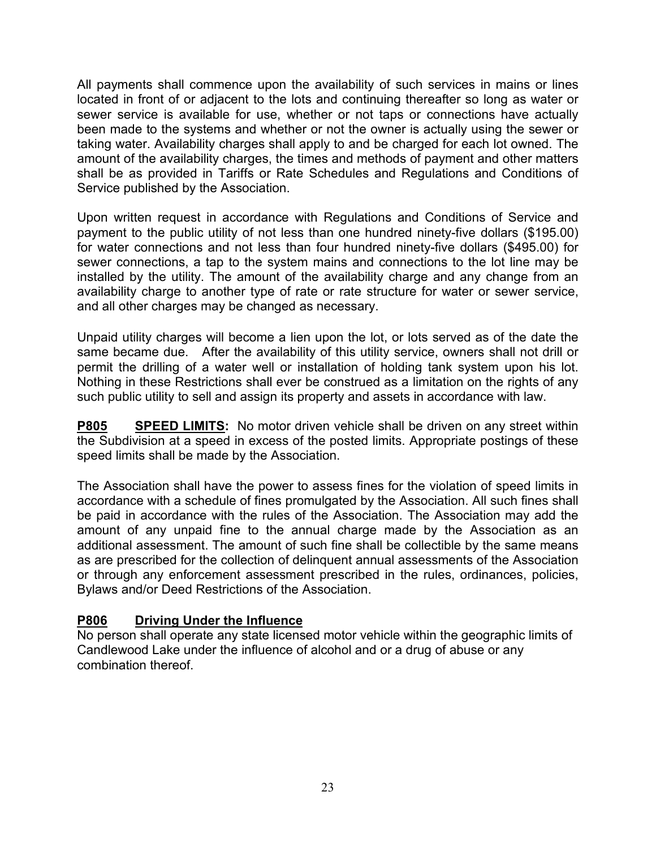All payments shall commence upon the availability of such services in mains or lines located in front of or adjacent to the lots and continuing thereafter so long as water or sewer service is available for use, whether or not taps or connections have actually been made to the systems and whether or not the owner is actually using the sewer or taking water. Availability charges shall apply to and be charged for each lot owned. The amount of the availability charges, the times and methods of payment and other matters shall be as provided in Tariffs or Rate Schedules and Regulations and Conditions of Service published by the Association.

Upon written request in accordance with Regulations and Conditions of Service and payment to the public utility of not less than one hundred ninety-five dollars (\$195.00) for water connections and not less than four hundred ninety-five dollars (\$495.00) for sewer connections, a tap to the system mains and connections to the lot line may be installed by the utility. The amount of the availability charge and any change from an availability charge to another type of rate or rate structure for water or sewer service, and all other charges may be changed as necessary.

Unpaid utility charges will become a lien upon the lot, or lots served as of the date the same became due. After the availability of this utility service, owners shall not drill or permit the drilling of a water well or installation of holding tank system upon his lot. Nothing in these Restrictions shall ever be construed as a limitation on the rights of any such public utility to sell and assign its property and assets in accordance with law.

**P805 SPEED LIMITS:** No motor driven vehicle shall be driven on any street within the Subdivision at a speed in excess of the posted limits. Appropriate postings of these speed limits shall be made by the Association.

The Association shall have the power to assess fines for the violation of speed limits in accordance with a schedule of fines promulgated by the Association. All such fines shall be paid in accordance with the rules of the Association. The Association may add the amount of any unpaid fine to the annual charge made by the Association as an additional assessment. The amount of such fine shall be collectible by the same means as are prescribed for the collection of delinquent annual assessments of the Association or through any enforcement assessment prescribed in the rules, ordinances, policies, Bylaws and/or Deed Restrictions of the Association.

## **P806 Driving Under the Influence**

No person shall operate any state licensed motor vehicle within the geographic limits of Candlewood Lake under the influence of alcohol and or a drug of abuse or any combination thereof.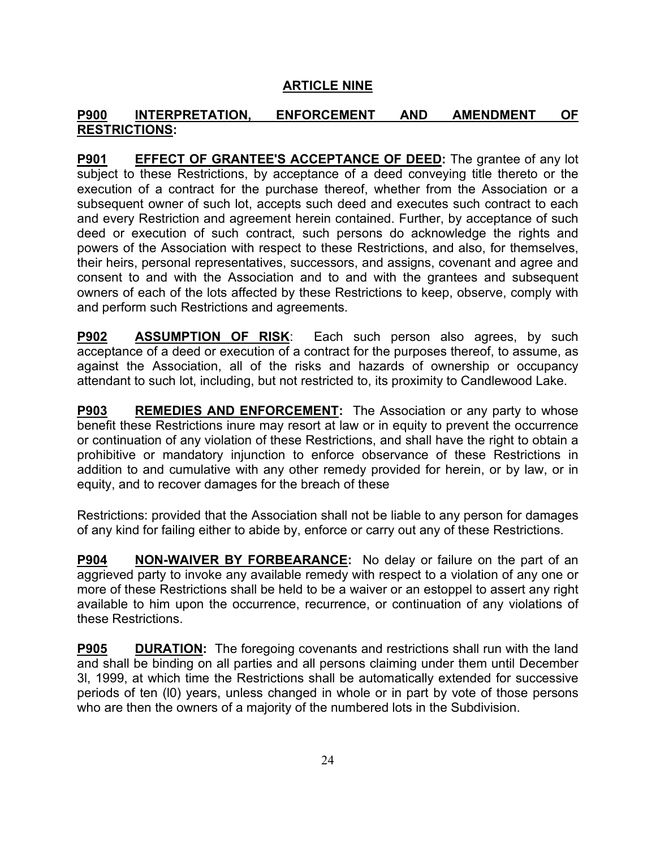#### **ARTICLE NINE**

#### **P900 INTERPRETATION, ENFORCEMENT AND AMENDMENT OF RESTRICTIONS:**

**P901 EFFECT OF GRANTEE'S ACCEPTANCE OF DEED:** The grantee of any lot subject to these Restrictions, by acceptance of a deed conveying title thereto or the execution of a contract for the purchase thereof, whether from the Association or a subsequent owner of such lot, accepts such deed and executes such contract to each and every Restriction and agreement herein contained. Further, by acceptance of such deed or execution of such contract, such persons do acknowledge the rights and powers of the Association with respect to these Restrictions, and also, for themselves, their heirs, personal representatives, successors, and assigns, covenant and agree and consent to and with the Association and to and with the grantees and subsequent owners of each of the lots affected by these Restrictions to keep, observe, comply with and perform such Restrictions and agreements.

**P902 ASSUMPTION OF RISK**: Each such person also agrees, by such acceptance of a deed or execution of a contract for the purposes thereof, to assume, as against the Association, all of the risks and hazards of ownership or occupancy attendant to such lot, including, but not restricted to, its proximity to Candlewood Lake.

**P903 REMEDIES AND ENFORCEMENT:** The Association or any party to whose benefit these Restrictions inure may resort at law or in equity to prevent the occurrence or continuation of any violation of these Restrictions, and shall have the right to obtain a prohibitive or mandatory injunction to enforce observance of these Restrictions in addition to and cumulative with any other remedy provided for herein, or by law, or in equity, and to recover damages for the breach of these

Restrictions: provided that the Association shall not be liable to any person for damages of any kind for failing either to abide by, enforce or carry out any of these Restrictions.

**P904 NON-WAIVER BY FORBEARANCE:** No delay or failure on the part of an aggrieved party to invoke any available remedy with respect to a violation of any one or more of these Restrictions shall be held to be a waiver or an estoppel to assert any right available to him upon the occurrence, recurrence, or continuation of any violations of these Restrictions.

**P905 DURATION:** The foregoing covenants and restrictions shall run with the land and shall be binding on all parties and all persons claiming under them until December 3l, 1999, at which time the Restrictions shall be automatically extended for successive periods of ten (l0) years, unless changed in whole or in part by vote of those persons who are then the owners of a majority of the numbered lots in the Subdivision.